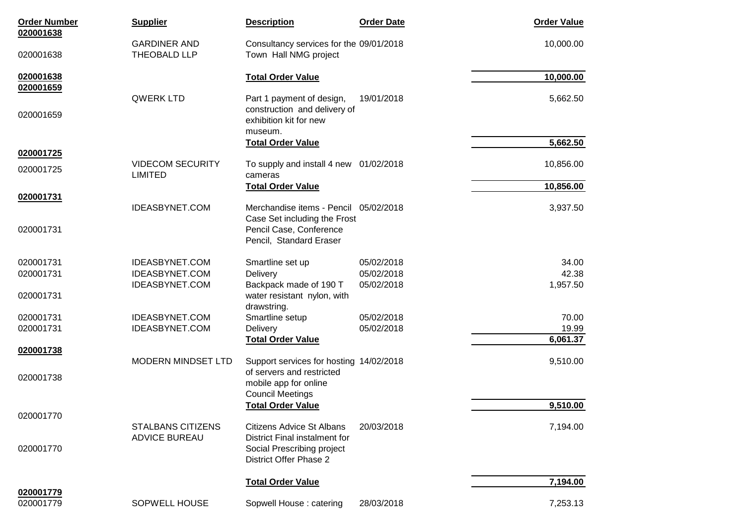| <b>Order Number</b>    | <b>Supplier</b>                                  | <b>Description</b>                                                | <b>Order Date</b> | <b>Order Value</b> |
|------------------------|--------------------------------------------------|-------------------------------------------------------------------|-------------------|--------------------|
| 020001638<br>020001638 | <b>GARDINER AND</b><br>THEOBALD LLP              | Consultancy services for the 09/01/2018<br>Town Hall NMG project  |                   | 10,000.00          |
| 020001638              |                                                  | <b>Total Order Value</b>                                          |                   | 10,000.00          |
| 020001659              | <b>QWERK LTD</b>                                 | Part 1 payment of design,                                         | 19/01/2018        | 5,662.50           |
| 020001659              |                                                  | construction and delivery of<br>exhibition kit for new<br>museum. |                   |                    |
|                        |                                                  | <b>Total Order Value</b>                                          |                   | 5,662.50           |
| 020001725              | <b>VIDECOM SECURITY</b>                          | To supply and install 4 new 01/02/2018                            |                   | 10,856.00          |
| 020001725              | <b>LIMITED</b>                                   | cameras                                                           |                   |                    |
| 020001731              |                                                  | <b>Total Order Value</b>                                          |                   | 10,856.00          |
|                        | <b>IDEASBYNET.COM</b>                            | Merchandise items - Pencil 05/02/2018                             |                   | 3,937.50           |
| 020001731              |                                                  | Case Set including the Frost<br>Pencil Case, Conference           |                   |                    |
|                        |                                                  | Pencil, Standard Eraser                                           |                   |                    |
| 020001731              | <b>IDEASBYNET.COM</b>                            | Smartline set up                                                  | 05/02/2018        | 34.00              |
| 020001731              | <b>IDEASBYNET.COM</b>                            | Delivery                                                          | 05/02/2018        | 42.38              |
| 020001731              | <b>IDEASBYNET.COM</b>                            | Backpack made of 190 T<br>water resistant nylon, with             | 05/02/2018        | 1,957.50           |
|                        |                                                  | drawstring.                                                       |                   |                    |
| 020001731              | <b>IDEASBYNET.COM</b>                            | Smartline setup                                                   | 05/02/2018        | 70.00              |
| 020001731              | <b>IDEASBYNET.COM</b>                            | Delivery                                                          | 05/02/2018        | 19.99              |
| 020001738              |                                                  | <b>Total Order Value</b>                                          |                   | 6,061.37           |
|                        | <b>MODERN MINDSET LTD</b>                        | Support services for hosting 14/02/2018                           |                   | 9,510.00           |
| 020001738              |                                                  | of servers and restricted                                         |                   |                    |
|                        |                                                  | mobile app for online<br><b>Council Meetings</b>                  |                   |                    |
|                        |                                                  | <b>Total Order Value</b>                                          |                   | 9,510.00           |
| 020001770              |                                                  |                                                                   |                   |                    |
|                        | <b>STALBANS CITIZENS</b><br><b>ADVICE BUREAU</b> | <b>Citizens Advice St Albans</b><br>District Final instalment for | 20/03/2018        | 7,194.00           |
| 020001770              |                                                  | Social Prescribing project<br>District Offer Phase 2              |                   |                    |
|                        |                                                  | <b>Total Order Value</b>                                          |                   | 7,194.00           |
| 020001779<br>020001779 | SOPWELL HOUSE                                    | Sopwell House: catering                                           | 28/03/2018        | 7,253.13           |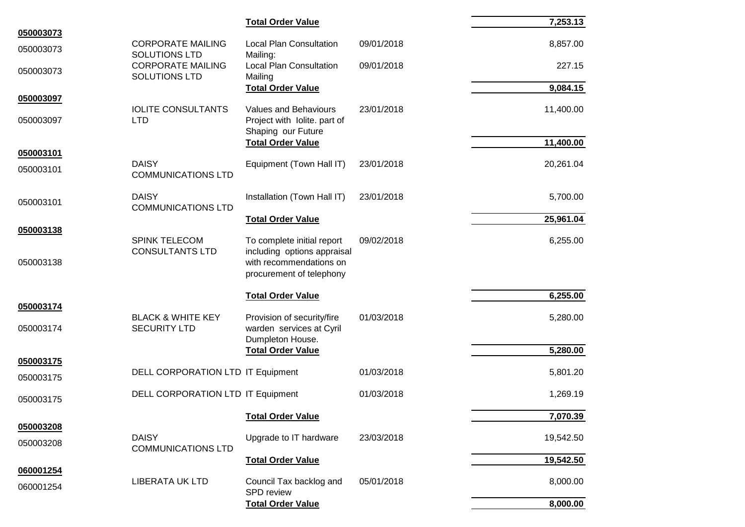|                        |                                                     | <b>Total Order Value</b>                                                   |            | 7,253.13  |
|------------------------|-----------------------------------------------------|----------------------------------------------------------------------------|------------|-----------|
| 050003073              | <b>CORPORATE MAILING</b>                            | <b>Local Plan Consultation</b>                                             | 09/01/2018 | 8,857.00  |
| 050003073              | <b>SOLUTIONS LTD</b>                                | Mailing:                                                                   |            |           |
| 050003073              | <b>CORPORATE MAILING</b><br><b>SOLUTIONS LTD</b>    | <b>Local Plan Consultation</b><br>Mailing                                  | 09/01/2018 | 227.15    |
|                        |                                                     | <b>Total Order Value</b>                                                   |            | 9,084.15  |
| 050003097              | <b>IOLITE CONSULTANTS</b>                           | <b>Values and Behaviours</b>                                               | 23/01/2018 | 11,400.00 |
| 050003097              | <b>LTD</b>                                          | Project with Iolite. part of<br>Shaping our Future                         |            |           |
| 050003101              |                                                     | <b>Total Order Value</b>                                                   |            | 11,400.00 |
|                        | <b>DAISY</b>                                        | Equipment (Town Hall IT)                                                   | 23/01/2018 | 20,261.04 |
| 050003101              | <b>COMMUNICATIONS LTD</b>                           |                                                                            |            |           |
| 050003101              | <b>DAISY</b><br><b>COMMUNICATIONS LTD</b>           | Installation (Town Hall IT)                                                | 23/01/2018 | 5,700.00  |
|                        |                                                     | <b>Total Order Value</b>                                                   |            | 25,961.04 |
| 050003138              |                                                     |                                                                            |            |           |
|                        | <b>SPINK TELECOM</b><br><b>CONSULTANTS LTD</b>      | To complete initial report<br>including options appraisal                  | 09/02/2018 | 6,255.00  |
| 050003138              |                                                     | with recommendations on<br>procurement of telephony                        |            |           |
|                        |                                                     | <b>Total Order Value</b>                                                   |            | 6,255.00  |
| 050003174              |                                                     |                                                                            |            |           |
| 050003174              | <b>BLACK &amp; WHITE KEY</b><br><b>SECURITY LTD</b> | Provision of security/fire<br>warden services at Cyril<br>Dumpleton House. | 01/03/2018 | 5,280.00  |
|                        |                                                     | <b>Total Order Value</b>                                                   |            | 5,280.00  |
| 050003175              | DELL CORPORATION LTD IT Equipment                   |                                                                            | 01/03/2018 | 5,801.20  |
| 050003175              |                                                     |                                                                            |            |           |
| 050003175              | DELL CORPORATION LTD IT Equipment                   |                                                                            | 01/03/2018 | 1,269.19  |
|                        |                                                     | <b>Total Order Value</b>                                                   |            | 7,070.39  |
| 050003208              | <b>DAISY</b>                                        | Upgrade to IT hardware                                                     | 23/03/2018 | 19,542.50 |
| 050003208              | <b>COMMUNICATIONS LTD</b>                           |                                                                            |            |           |
|                        |                                                     | <b>Total Order Value</b>                                                   |            | 19,542.50 |
| 060001254<br>060001254 | <b>LIBERATA UK LTD</b>                              | Council Tax backlog and<br>SPD review                                      | 05/01/2018 | 8,000.00  |
|                        |                                                     | <b>Total Order Value</b>                                                   |            | 8,000.00  |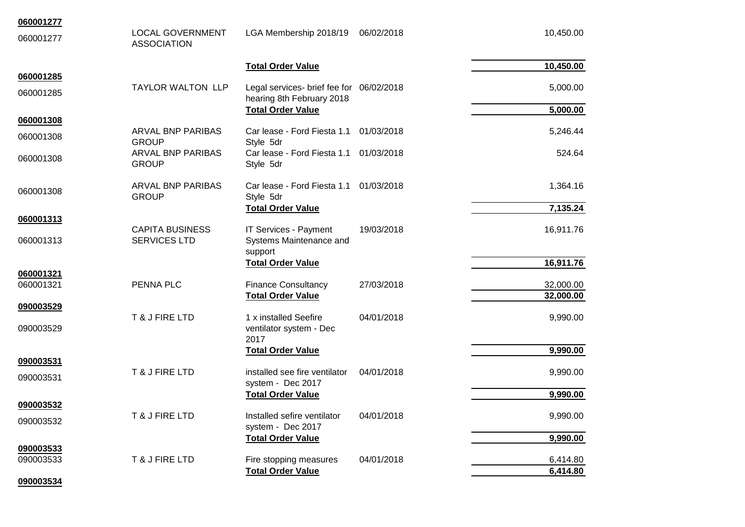| 060001277 |                                               |                                                    |            |                      |
|-----------|-----------------------------------------------|----------------------------------------------------|------------|----------------------|
| 060001277 | <b>LOCAL GOVERNMENT</b><br><b>ASSOCIATION</b> | LGA Membership 2018/19                             | 06/02/2018 | 10,450.00            |
|           |                                               | <b>Total Order Value</b>                           |            | 10,450.00            |
| 060001285 | <b>TAYLOR WALTON LLP</b>                      | Legal services- brief fee for 06/02/2018           |            | 5,000.00             |
| 060001285 |                                               | hearing 8th February 2018                          |            |                      |
|           |                                               | <b>Total Order Value</b>                           |            | 5,000.00             |
| 060001308 |                                               |                                                    |            |                      |
| 060001308 | <b>ARVAL BNP PARIBAS</b>                      | Car lease - Ford Fiesta 1.1                        | 01/03/2018 | 5,246.44             |
|           | <b>GROUP</b><br><b>ARVAL BNP PARIBAS</b>      | Style 5dr<br>Car lease - Ford Fiesta 1.1           | 01/03/2018 | 524.64               |
| 060001308 | <b>GROUP</b>                                  | Style 5dr                                          |            |                      |
|           |                                               |                                                    |            |                      |
| 060001308 | <b>ARVAL BNP PARIBAS</b>                      | Car lease - Ford Fiesta 1.1                        | 01/03/2018 | 1,364.16             |
|           | <b>GROUP</b>                                  | Style 5dr                                          |            |                      |
| 060001313 |                                               | <b>Total Order Value</b>                           |            | 7,135.24             |
|           | <b>CAPITA BUSINESS</b>                        | IT Services - Payment                              | 19/03/2018 | 16,911.76            |
| 060001313 | <b>SERVICES LTD</b>                           | Systems Maintenance and                            |            |                      |
|           |                                               | support                                            |            |                      |
| 060001321 |                                               | <b>Total Order Value</b>                           |            | 16,911.76            |
| 060001321 | PENNA PLC                                     | <b>Finance Consultancy</b>                         | 27/03/2018 | 32,000.00            |
|           |                                               | <b>Total Order Value</b>                           |            | 32,000.00            |
| 090003529 |                                               |                                                    |            |                      |
|           | T & J FIRE LTD                                | 1 x installed Seefire                              | 04/01/2018 | 9,990.00             |
| 090003529 |                                               | ventilator system - Dec<br>2017                    |            |                      |
|           |                                               | <b>Total Order Value</b>                           |            | 9,990.00             |
| 090003531 |                                               |                                                    |            |                      |
| 090003531 | T & J FIRE LTD                                | installed see fire ventilator                      | 04/01/2018 | 9,990.00             |
|           |                                               | system - Dec 2017                                  |            |                      |
| 090003532 |                                               | <b>Total Order Value</b>                           |            | 9,990.00             |
|           | T & J FIRE LTD                                | Installed sefire ventilator                        | 04/01/2018 | 9,990.00             |
| 090003532 |                                               | system - Dec 2017                                  |            |                      |
|           |                                               | <b>Total Order Value</b>                           |            | 9,990.00             |
| 090003533 |                                               |                                                    |            |                      |
| 090003533 | T & J FIRE LTD                                | Fire stopping measures<br><b>Total Order Value</b> | 04/01/2018 | 6,414.80<br>6,414.80 |
| 090003534 |                                               |                                                    |            |                      |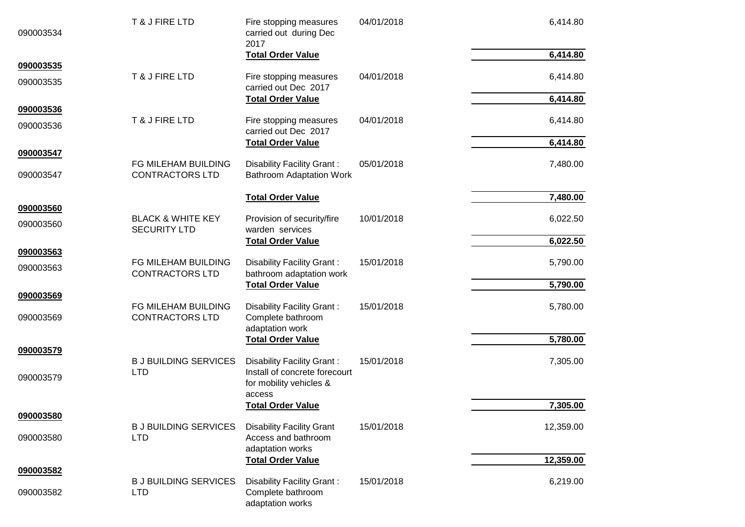| 090003534              | T & J FIRE LTD                                      | Fire stopping measures<br>carried out during Dec<br>2017                                         | 04/01/2018 | 6,414.80  |
|------------------------|-----------------------------------------------------|--------------------------------------------------------------------------------------------------|------------|-----------|
| 090003535              |                                                     | <b>Total Order Value</b>                                                                         |            | 6,414.80  |
| 090003535              | T & J FIRE LTD                                      | Fire stopping measures<br>carried out Dec 2017                                                   | 04/01/2018 | 6,414.80  |
|                        |                                                     | <b>Total Order Value</b>                                                                         |            | 6,414.80  |
| 090003536<br>090003536 | T & J FIRE LTD                                      | Fire stopping measures<br>carried out Dec 2017                                                   | 04/01/2018 | 6,414.80  |
|                        |                                                     | <b>Total Order Value</b>                                                                         |            | 6,414.80  |
| 090003547              |                                                     |                                                                                                  |            |           |
| 090003547              | FG MILEHAM BUILDING<br><b>CONTRACTORS LTD</b>       | <b>Disability Facility Grant:</b><br><b>Bathroom Adaptation Work</b>                             | 05/01/2018 | 7,480.00  |
|                        |                                                     | <b>Total Order Value</b>                                                                         |            | 7,480.00  |
| 090003560              |                                                     |                                                                                                  |            |           |
| 090003560              | <b>BLACK &amp; WHITE KEY</b><br><b>SECURITY LTD</b> | Provision of security/fire<br>warden services                                                    | 10/01/2018 | 6,022.50  |
|                        |                                                     | <b>Total Order Value</b>                                                                         |            | 6,022.50  |
| 090003563<br>090003563 | FG MILEHAM BUILDING<br><b>CONTRACTORS LTD</b>       | Disability Facility Grant:<br>bathroom adaptation work                                           | 15/01/2018 | 5,790.00  |
|                        |                                                     | <b>Total Order Value</b>                                                                         |            | 5,790.00  |
| 090003569              |                                                     |                                                                                                  |            |           |
| 090003569              | FG MILEHAM BUILDING<br><b>CONTRACTORS LTD</b>       | Disability Facility Grant:<br>Complete bathroom<br>adaptation work                               | 15/01/2018 | 5,780.00  |
|                        |                                                     | <b>Total Order Value</b>                                                                         |            | 5,780.00  |
| 090003579              |                                                     |                                                                                                  |            |           |
| 090003579              | <b>B J BUILDING SERVICES</b><br><b>LTD</b>          | Disability Facility Grant:<br>Install of concrete forecourt<br>for mobility vehicles &<br>access | 15/01/2018 | 7,305.00  |
|                        |                                                     | <b>Total Order Value</b>                                                                         |            | 7,305.00  |
| 090003580              |                                                     |                                                                                                  |            |           |
| 090003580              | <b>B J BUILDING SERVICES</b><br><b>LTD</b>          | <b>Disability Facility Grant</b><br>Access and bathroom<br>adaptation works                      | 15/01/2018 | 12,359.00 |
|                        |                                                     | <b>Total Order Value</b>                                                                         |            | 12,359.00 |
| 090003582              |                                                     |                                                                                                  |            |           |
| 090003582              | <b>B J BUILDING SERVICES</b><br><b>LTD</b>          | Disability Facility Grant:<br>Complete bathroom<br>adaptation works                              | 15/01/2018 | 6,219.00  |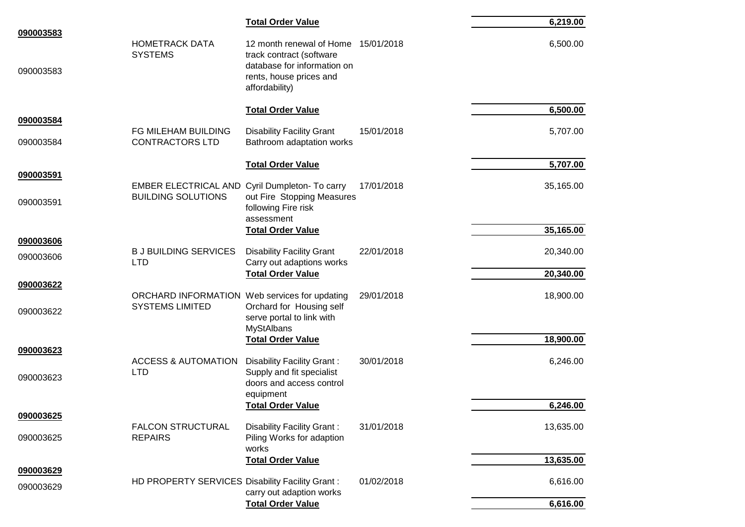|           |                                                 | <b>Total Order Value</b>                                                                             |            | 6,219.00  |
|-----------|-------------------------------------------------|------------------------------------------------------------------------------------------------------|------------|-----------|
| 090003583 | <b>HOMETRACK DATA</b>                           | 12 month renewal of Home 15/01/2018                                                                  |            | 6,500.00  |
| 090003583 | <b>SYSTEMS</b>                                  | track contract (software<br>database for information on<br>rents, house prices and<br>affordability) |            |           |
|           |                                                 | <b>Total Order Value</b>                                                                             |            | 6,500.00  |
| 090003584 | FG MILEHAM BUILDING                             | <b>Disability Facility Grant</b>                                                                     | 15/01/2018 | 5,707.00  |
| 090003584 | <b>CONTRACTORS LTD</b>                          | Bathroom adaptation works                                                                            |            |           |
|           |                                                 | <b>Total Order Value</b>                                                                             |            | 5,707.00  |
| 090003591 | <b>EMBER ELECTRICAL AND</b>                     | Cyril Dumpleton- To carry                                                                            | 17/01/2018 | 35,165.00 |
| 090003591 | <b>BUILDING SOLUTIONS</b>                       | out Fire Stopping Measures<br>following Fire risk<br>assessment                                      |            |           |
|           |                                                 | <b>Total Order Value</b>                                                                             |            | 35,165.00 |
| 090003606 | <b>B J BUILDING SERVICES</b>                    | <b>Disability Facility Grant</b>                                                                     | 22/01/2018 | 20,340.00 |
| 090003606 | <b>LTD</b>                                      | Carry out adaptions works                                                                            |            |           |
| 090003622 |                                                 | <b>Total Order Value</b>                                                                             |            | 20,340.00 |
|           | ORCHARD INFORMATION Web services for updating   |                                                                                                      | 29/01/2018 | 18,900.00 |
| 090003622 | <b>SYSTEMS LIMITED</b>                          | Orchard for Housing self<br>serve portal to link with<br><b>MyStAlbans</b>                           |            |           |
|           |                                                 | <b>Total Order Value</b>                                                                             |            | 18,900.00 |
| 090003623 | <b>ACCESS &amp; AUTOMATION</b>                  | Disability Facility Grant:                                                                           | 30/01/2018 | 6,246.00  |
| 090003623 | <b>LTD</b>                                      | Supply and fit specialist<br>doors and access control<br>equipment                                   |            |           |
|           |                                                 | <b>Total Order Value</b>                                                                             |            | 6,246.00  |
| 090003625 | <b>FALCON STRUCTURAL</b>                        | <b>Disability Facility Grant:</b>                                                                    | 31/01/2018 | 13,635.00 |
| 090003625 | <b>REPAIRS</b>                                  | Piling Works for adaption<br>works                                                                   |            |           |
| 090003629 |                                                 | <b>Total Order Value</b>                                                                             |            | 13,635.00 |
| 090003629 | HD PROPERTY SERVICES Disability Facility Grant: | carry out adaption works                                                                             | 01/02/2018 | 6,616.00  |
|           |                                                 | <b>Total Order Value</b>                                                                             |            | 6,616.00  |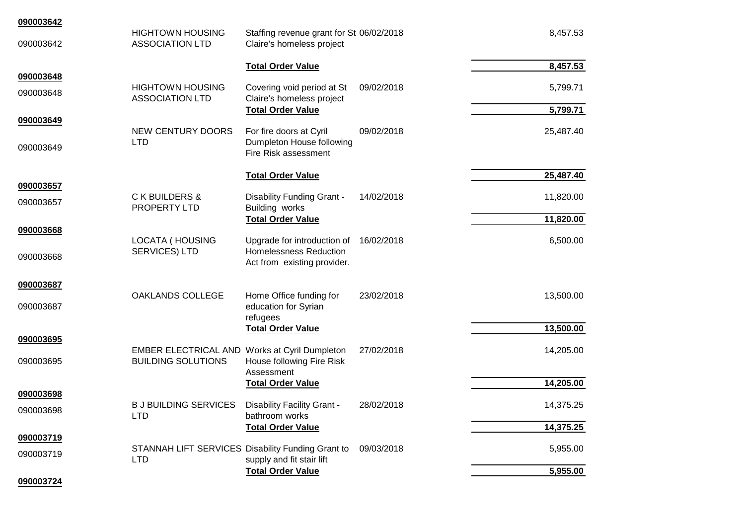| 090003642 |                                                                            |                                                                                             |            |           |
|-----------|----------------------------------------------------------------------------|---------------------------------------------------------------------------------------------|------------|-----------|
| 090003642 | <b>HIGHTOWN HOUSING</b><br><b>ASSOCIATION LTD</b>                          | Staffing revenue grant for St 06/02/2018<br>Claire's homeless project                       |            | 8,457.53  |
|           |                                                                            | <b>Total Order Value</b>                                                                    |            | 8,457.53  |
| 090003648 |                                                                            |                                                                                             |            |           |
| 090003648 | <b>HIGHTOWN HOUSING</b><br><b>ASSOCIATION LTD</b>                          | Covering void period at St<br>Claire's homeless project                                     | 09/02/2018 | 5,799.71  |
|           |                                                                            | <b>Total Order Value</b>                                                                    |            | 5,799.71  |
| 090003649 | NEW CENTURY DOORS                                                          | For fire doors at Cyril                                                                     | 09/02/2018 | 25,487.40 |
| 090003649 | <b>LTD</b>                                                                 | Dumpleton House following<br>Fire Risk assessment                                           |            |           |
|           |                                                                            | <b>Total Order Value</b>                                                                    |            | 25,487.40 |
| 090003657 |                                                                            |                                                                                             |            |           |
| 090003657 | C K BUILDERS &<br>PROPERTY LTD                                             | Disability Funding Grant -<br>Building works                                                | 14/02/2018 | 11,820.00 |
|           |                                                                            | <b>Total Order Value</b>                                                                    |            | 11,820.00 |
| 090003668 |                                                                            |                                                                                             |            |           |
| 090003668 | LOCATA (HOUSING<br>SERVICES) LTD                                           | Upgrade for introduction of<br><b>Homelessness Reduction</b><br>Act from existing provider. | 16/02/2018 | 6,500.00  |
| 090003687 |                                                                            |                                                                                             |            |           |
|           | OAKLANDS COLLEGE                                                           | Home Office funding for                                                                     | 23/02/2018 | 13,500.00 |
| 090003687 |                                                                            | education for Syrian<br>refugees                                                            |            |           |
|           |                                                                            | <b>Total Order Value</b>                                                                    |            | 13,500.00 |
| 090003695 |                                                                            |                                                                                             |            |           |
| 090003695 | EMBER ELECTRICAL AND Works at Cyril Dumpleton<br><b>BUILDING SOLUTIONS</b> | House following Fire Risk<br>Assessment                                                     | 27/02/2018 | 14,205.00 |
|           |                                                                            | <b>Total Order Value</b>                                                                    |            | 14,205.00 |
| 090003698 |                                                                            |                                                                                             |            |           |
| 090003698 | <b>BJ BUILDING SERVICES</b><br><b>LTD</b>                                  | Disability Facility Grant -<br>bathroom works                                               | 28/02/2018 | 14,375.25 |
|           |                                                                            | <b>Total Order Value</b>                                                                    |            | 14,375.25 |
| 090003719 |                                                                            |                                                                                             |            |           |
| 090003719 | STANNAH LIFT SERVICES Disability Funding Grant to<br><b>LTD</b>            | supply and fit stair lift                                                                   | 09/03/2018 | 5,955.00  |
|           |                                                                            | <b>Total Order Value</b>                                                                    |            | 5,955.00  |
| 090003724 |                                                                            |                                                                                             |            |           |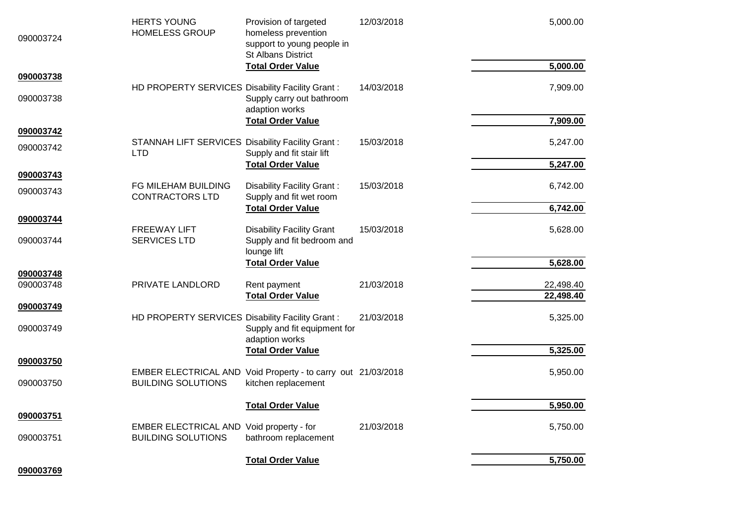| 090003724              | <b>HERTS YOUNG</b><br><b>HOMELESS GROUP</b>                                               | Provision of targeted<br>homeless prevention<br>support to young people in<br><b>St Albans District</b> | 12/03/2018 | 5,000.00  |
|------------------------|-------------------------------------------------------------------------------------------|---------------------------------------------------------------------------------------------------------|------------|-----------|
| 090003738              |                                                                                           | <b>Total Order Value</b>                                                                                |            | 5,000.00  |
| 090003738              | HD PROPERTY SERVICES Disability Facility Grant:                                           | Supply carry out bathroom<br>adaption works                                                             | 14/03/2018 | 7,909.00  |
|                        |                                                                                           | <b>Total Order Value</b>                                                                                |            | 7,909.00  |
| 090003742              | <b>STANNAH LIFT SERVICES Disability Facility Grant:</b>                                   |                                                                                                         | 15/03/2018 | 5,247.00  |
| 090003742              | <b>LTD</b>                                                                                | Supply and fit stair lift                                                                               |            |           |
|                        |                                                                                           | <b>Total Order Value</b>                                                                                |            | 5,247.00  |
| 090003743              | FG MILEHAM BUILDING                                                                       | <b>Disability Facility Grant:</b>                                                                       | 15/03/2018 | 6,742.00  |
| 090003743              | <b>CONTRACTORS LTD</b>                                                                    | Supply and fit wet room                                                                                 |            |           |
| 090003744              |                                                                                           | <b>Total Order Value</b>                                                                                |            | 6,742.00  |
|                        | <b>FREEWAY LIFT</b>                                                                       | <b>Disability Facility Grant</b>                                                                        | 15/03/2018 | 5,628.00  |
| 090003744              | <b>SERVICES LTD</b>                                                                       | Supply and fit bedroom and<br>lounge lift                                                               |            |           |
|                        |                                                                                           | <b>Total Order Value</b>                                                                                |            | 5,628.00  |
| 090003748<br>090003748 | PRIVATE LANDLORD                                                                          | Rent payment                                                                                            | 21/03/2018 | 22,498.40 |
|                        |                                                                                           | <b>Total Order Value</b>                                                                                |            | 22,498.40 |
| 090003749              |                                                                                           |                                                                                                         |            |           |
| 090003749              | HD PROPERTY SERVICES Disability Facility Grant:                                           | Supply and fit equipment for<br>adaption works                                                          | 21/03/2018 | 5,325.00  |
|                        |                                                                                           | <b>Total Order Value</b>                                                                                |            | 5,325.00  |
| 090003750              |                                                                                           |                                                                                                         |            |           |
| 090003750              | EMBER ELECTRICAL AND Void Property - to carry out 21/03/2018<br><b>BUILDING SOLUTIONS</b> | kitchen replacement                                                                                     |            | 5,950.00  |
|                        |                                                                                           | <b>Total Order Value</b>                                                                                |            | 5,950.00  |
| 090003751              |                                                                                           |                                                                                                         |            |           |
| 090003751              | EMBER ELECTRICAL AND Void property - for<br><b>BUILDING SOLUTIONS</b>                     | bathroom replacement                                                                                    | 21/03/2018 | 5,750.00  |
| 090003769              |                                                                                           | <b>Total Order Value</b>                                                                                |            | 5,750.00  |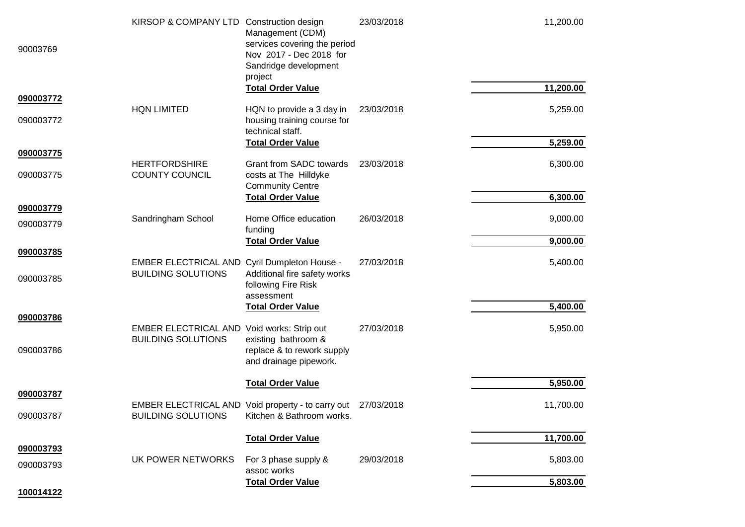| 90003769               | KIRSOP & COMPANY LTD Construction design                                  | Management (CDM)<br>services covering the period<br>Nov 2017 - Dec 2018 for<br>Sandridge development<br>project | 23/03/2018 | 11,200.00<br>11,200.00 |
|------------------------|---------------------------------------------------------------------------|-----------------------------------------------------------------------------------------------------------------|------------|------------------------|
| 090003772              |                                                                           | <b>Total Order Value</b>                                                                                        |            |                        |
| 090003772              | <b>HQN LIMITED</b>                                                        | HQN to provide a 3 day in<br>housing training course for<br>technical staff.                                    | 23/03/2018 | 5,259.00               |
|                        |                                                                           | <b>Total Order Value</b>                                                                                        |            | 5,259.00               |
| 090003775<br>090003775 | <b>HERTFORDSHIRE</b><br><b>COUNTY COUNCIL</b>                             | <b>Grant from SADC towards</b><br>costs at The Hilldyke                                                         | 23/03/2018 | 6,300.00               |
|                        |                                                                           | <b>Community Centre</b><br><b>Total Order Value</b>                                                             |            | 6,300.00               |
| 090003779              |                                                                           | Home Office education                                                                                           | 26/03/2018 |                        |
| 090003779              | Sandringham School                                                        | funding                                                                                                         |            | 9,000.00               |
|                        |                                                                           | <b>Total Order Value</b>                                                                                        |            | 9,000.00               |
| 090003785<br>090003785 | EMBER ELECTRICAL AND Cyril Dumpleton House -<br><b>BUILDING SOLUTIONS</b> | Additional fire safety works<br>following Fire Risk                                                             | 27/03/2018 | 5,400.00               |
|                        |                                                                           | assessment<br><b>Total Order Value</b>                                                                          |            | 5,400.00               |
| 090003786              |                                                                           |                                                                                                                 |            |                        |
| 090003786              | EMBER ELECTRICAL AND Void works: Strip out<br><b>BUILDING SOLUTIONS</b>   | existing bathroom &<br>replace & to rework supply<br>and drainage pipework.                                     | 27/03/2018 | 5,950.00               |
|                        |                                                                           | <b>Total Order Value</b>                                                                                        |            | 5,950.00               |
| 090003787              |                                                                           |                                                                                                                 |            |                        |
| 090003787              | <b>BUILDING SOLUTIONS</b>                                                 | EMBER ELECTRICAL AND Void property - to carry out 27/03/2018<br>Kitchen & Bathroom works.                       |            | 11,700.00              |
|                        |                                                                           | <b>Total Order Value</b>                                                                                        |            | 11,700.00              |
| 090003793<br>090003793 | UK POWER NETWORKS                                                         | For 3 phase supply &<br>assoc works                                                                             | 29/03/2018 | 5,803.00               |
|                        |                                                                           | <b>Total Order Value</b>                                                                                        |            | 5,803.00               |
| 100014122              |                                                                           |                                                                                                                 |            |                        |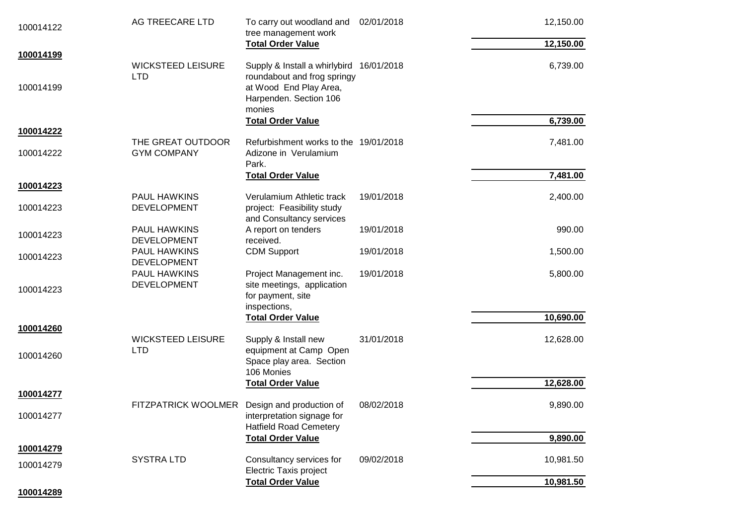| 100014122 | AG TREECARE LTD                              | To carry out woodland and<br>tree management work                       | 02/01/2018 | 12,150.00 |
|-----------|----------------------------------------------|-------------------------------------------------------------------------|------------|-----------|
|           |                                              | <b>Total Order Value</b>                                                |            | 12,150.00 |
| 100014199 | <b>WICKSTEED LEISURE</b><br><b>LTD</b>       | Supply & Install a whirlybird 16/01/2018<br>roundabout and frog springy |            | 6,739.00  |
| 100014199 |                                              | at Wood End Play Area,<br>Harpenden. Section 106<br>monies              |            |           |
| 100014222 |                                              | <b>Total Order Value</b>                                                |            | 6,739.00  |
|           | THE GREAT OUTDOOR                            | Refurbishment works to the 19/01/2018                                   |            | 7,481.00  |
| 100014222 | <b>GYM COMPANY</b>                           | Adizone in Verulamium<br>Park.                                          |            |           |
|           |                                              | <b>Total Order Value</b>                                                |            | 7,481.00  |
| 100014223 | <b>PAUL HAWKINS</b>                          | Verulamium Athletic track                                               | 19/01/2018 | 2,400.00  |
| 100014223 | <b>DEVELOPMENT</b>                           | project: Feasibility study<br>and Consultancy services                  |            |           |
| 100014223 | <b>PAUL HAWKINS</b>                          | A report on tenders                                                     | 19/01/2018 | 990.00    |
|           | <b>DEVELOPMENT</b>                           | received.                                                               |            |           |
| 100014223 | <b>PAUL HAWKINS</b><br><b>DEVELOPMENT</b>    | <b>CDM Support</b>                                                      | 19/01/2018 | 1,500.00  |
|           | <b>PAUL HAWKINS</b>                          | Project Management inc.                                                 | 19/01/2018 | 5,800.00  |
|           | <b>DEVELOPMENT</b>                           | site meetings, application                                              |            |           |
| 100014223 |                                              | for payment, site                                                       |            |           |
|           |                                              | inspections,                                                            |            |           |
|           |                                              | <b>Total Order Value</b>                                                |            | 10,690.00 |
| 100014260 | <b>WICKSTEED LEISURE</b>                     | Supply & Install new                                                    | 31/01/2018 | 12,628.00 |
|           | <b>LTD</b>                                   | equipment at Camp Open                                                  |            |           |
| 100014260 |                                              | Space play area. Section                                                |            |           |
|           |                                              | 106 Monies                                                              |            |           |
|           |                                              | <b>Total Order Value</b>                                                |            | 12,628.00 |
| 100014277 | FITZPATRICK WOOLMER Design and production of |                                                                         | 08/02/2018 | 9,890.00  |
| 100014277 |                                              | interpretation signage for                                              |            |           |
|           |                                              | <b>Hatfield Road Cemetery</b>                                           |            |           |
|           |                                              | <b>Total Order Value</b>                                                |            | 9,890.00  |
| 100014279 |                                              |                                                                         |            |           |
| 100014279 | <b>SYSTRA LTD</b>                            | Consultancy services for<br><b>Electric Taxis project</b>               | 09/02/2018 | 10,981.50 |
|           |                                              | <b>Total Order Value</b>                                                |            | 10,981.50 |
| 100014289 |                                              |                                                                         |            |           |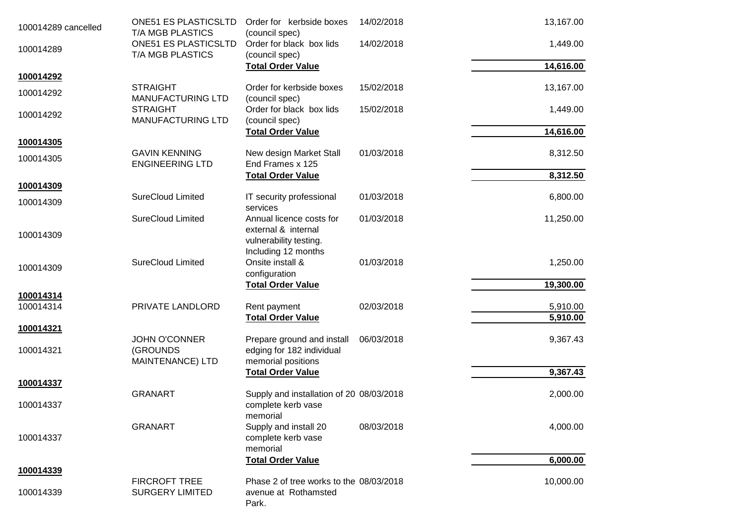| 100014289 cancelled    | <b>ONE51 ES PLASTICSLTD</b><br>T/A MGB PLASTICS      | Order for kerbside boxes<br>(council spec)                                    | 14/02/2018 | 13,167.00            |
|------------------------|------------------------------------------------------|-------------------------------------------------------------------------------|------------|----------------------|
| 100014289              | <b>ONE51 ES PLASTICSLTD</b><br>T/A MGB PLASTICS      | Order for black box lids<br>(council spec)                                    | 14/02/2018 | 1,449.00             |
| 100014292              |                                                      | <b>Total Order Value</b>                                                      |            | 14,616.00            |
| 100014292              | <b>STRAIGHT</b><br><b>MANUFACTURING LTD</b>          | Order for kerbside boxes<br>(council spec)                                    | 15/02/2018 | 13,167.00            |
| 100014292              | <b>STRAIGHT</b><br>MANUFACTURING LTD                 | Order for black box lids<br>(council spec)                                    | 15/02/2018 | 1,449.00             |
| 100014305              |                                                      | <b>Total Order Value</b>                                                      |            | 14,616.00            |
| 100014305              | <b>GAVIN KENNING</b><br><b>ENGINEERING LTD</b>       | New design Market Stall<br>End Frames x 125                                   | 01/03/2018 | 8,312.50             |
|                        |                                                      | <b>Total Order Value</b>                                                      |            | 8,312.50             |
| 100014309<br>100014309 | <b>SureCloud Limited</b>                             | IT security professional<br>services                                          | 01/03/2018 | 6,800.00             |
| 100014309              | <b>SureCloud Limited</b>                             | Annual licence costs for<br>external & internal<br>vulnerability testing.     | 01/03/2018 | 11,250.00            |
| 100014309              | <b>SureCloud Limited</b>                             | Including 12 months<br>Onsite install &<br>configuration                      | 01/03/2018 | 1,250.00             |
|                        |                                                      | <b>Total Order Value</b>                                                      |            | 19,300.00            |
| 100014314<br>100014314 | PRIVATE LANDLORD                                     | Rent payment<br><b>Total Order Value</b>                                      | 02/03/2018 | 5,910.00<br>5,910.00 |
| 100014321              |                                                      |                                                                               |            |                      |
| 100014321              | <b>JOHN O'CONNER</b><br>(GROUNDS<br>MAINTENANCE) LTD | Prepare ground and install<br>edging for 182 individual<br>memorial positions | 06/03/2018 | 9,367.43             |
|                        |                                                      | <b>Total Order Value</b>                                                      |            | 9,367.43             |
| 100014337              | <b>GRANART</b>                                       | Supply and installation of 20 08/03/2018                                      |            | 2,000.00             |
| 100014337              |                                                      | complete kerb vase<br>memorial                                                |            |                      |
| 100014337              | <b>GRANART</b>                                       | Supply and install 20<br>complete kerb vase<br>memorial                       | 08/03/2018 | 4,000.00             |
|                        |                                                      | <b>Total Order Value</b>                                                      |            | 6,000.00             |
| 100014339              | <b>FIRCROFT TREE</b>                                 | Phase 2 of tree works to the 08/03/2018                                       |            | 10,000.00            |
| 100014339              | <b>SURGERY LIMITED</b>                               | avenue at Rothamsted<br>Park.                                                 |            |                      |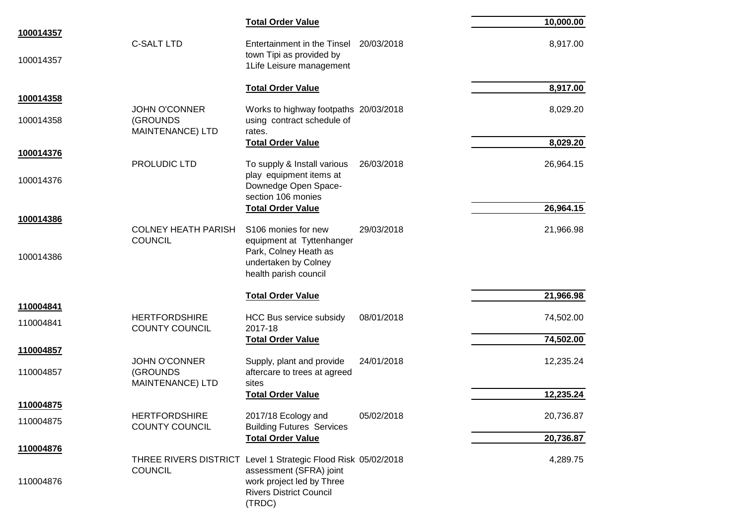|           |                                                      | <b>Total Order Value</b>                                                                         |            | 10,000.00 |
|-----------|------------------------------------------------------|--------------------------------------------------------------------------------------------------|------------|-----------|
| 100014357 | <b>C-SALT LTD</b>                                    | Entertainment in the Tinsel 20/03/2018<br>town Tipi as provided by                               |            | 8,917.00  |
| 100014357 |                                                      | 1Life Leisure management                                                                         |            |           |
| 100014358 |                                                      | <b>Total Order Value</b>                                                                         |            | 8,917.00  |
| 100014358 | <b>JOHN O'CONNER</b><br>(GROUNDS<br>MAINTENANCE) LTD | Works to highway footpaths 20/03/2018<br>using contract schedule of<br>rates.                    |            | 8,029.20  |
|           |                                                      | <b>Total Order Value</b>                                                                         |            | 8,029.20  |
| 100014376 | PROLUDIC LTD                                         | To supply & Install various                                                                      | 26/03/2018 | 26,964.15 |
| 100014376 |                                                      | play equipment items at<br>Downedge Open Space-<br>section 106 monies                            |            |           |
|           |                                                      | <b>Total Order Value</b>                                                                         |            | 26,964.15 |
| 100014386 | <b>COLNEY HEATH PARISH</b>                           | S106 monies for new                                                                              | 29/03/2018 | 21,966.98 |
|           | <b>COUNCIL</b>                                       | equipment at Tyttenhanger                                                                        |            |           |
| 100014386 |                                                      | Park, Colney Heath as<br>undertaken by Colney<br>health parish council                           |            |           |
|           |                                                      | <b>Total Order Value</b>                                                                         |            | 21,966.98 |
| 110004841 |                                                      |                                                                                                  |            |           |
| 110004841 | <b>HERTFORDSHIRE</b><br><b>COUNTY COUNCIL</b>        | HCC Bus service subsidy<br>2017-18                                                               | 08/01/2018 | 74,502.00 |
|           |                                                      | <b>Total Order Value</b>                                                                         |            | 74,502.00 |
| 110004857 | <b>JOHN O'CONNER</b>                                 | Supply, plant and provide                                                                        | 24/01/2018 | 12,235.24 |
| 110004857 | (GROUNDS                                             | aftercare to trees at agreed                                                                     |            |           |
|           | MAINTENANCE) LTD                                     | sites<br><b>Total Order Value</b>                                                                |            | 12,235.24 |
| 110004875 |                                                      |                                                                                                  |            |           |
| 110004875 | <b>HERTFORDSHIRE</b><br><b>COUNTY COUNCIL</b>        | 2017/18 Ecology and<br><b>Building Futures Services</b>                                          | 05/02/2018 | 20,736.87 |
|           |                                                      | <b>Total Order Value</b>                                                                         |            | 20,736.87 |
| 110004876 |                                                      | THREE RIVERS DISTRICT Level 1 Strategic Flood Risk 05/02/2018                                    |            | 4,289.75  |
| 110004876 | <b>COUNCIL</b>                                       | assessment (SFRA) joint<br>work project led by Three<br><b>Rivers District Council</b><br>(TRDC) |            |           |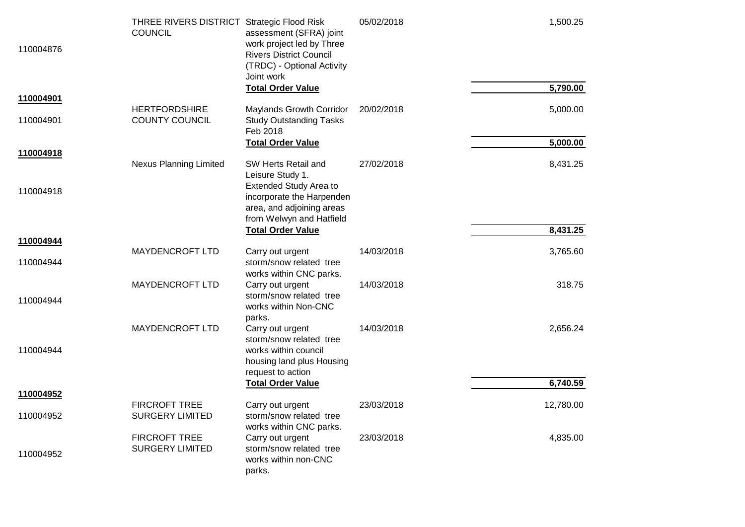| 110004876              | THREE RIVERS DISTRICT Strategic Flood Risk<br><b>COUNCIL</b> | assessment (SFRA) joint<br>work project led by Three<br><b>Rivers District Council</b><br>(TRDC) - Optional Activity<br>Joint work | 05/02/2018 | 1,500.25  |
|------------------------|--------------------------------------------------------------|------------------------------------------------------------------------------------------------------------------------------------|------------|-----------|
| 110004901              |                                                              | <b>Total Order Value</b>                                                                                                           |            | 5,790.00  |
| 110004901              | <b>HERTFORDSHIRE</b><br><b>COUNTY COUNCIL</b>                | Maylands Growth Corridor<br><b>Study Outstanding Tasks</b><br>Feb 2018                                                             | 20/02/2018 | 5,000.00  |
|                        |                                                              | <b>Total Order Value</b>                                                                                                           |            | 5,000.00  |
| 110004918              | <b>Nexus Planning Limited</b>                                | SW Herts Retail and<br>Leisure Study 1.                                                                                            | 27/02/2018 | 8,431.25  |
| 110004918              |                                                              | <b>Extended Study Area to</b><br>incorporate the Harpenden<br>area, and adjoining areas<br>from Welwyn and Hatfield                |            |           |
|                        |                                                              | <b>Total Order Value</b>                                                                                                           |            | 8,431.25  |
| 110004944<br>110004944 | <b>MAYDENCROFT LTD</b>                                       | Carry out urgent<br>storm/snow related tree                                                                                        | 14/03/2018 | 3,765.60  |
|                        | <b>MAYDENCROFT LTD</b>                                       | works within CNC parks.<br>Carry out urgent                                                                                        | 14/03/2018 | 318.75    |
| 110004944              |                                                              | storm/snow related tree<br>works within Non-CNC<br>parks.                                                                          |            |           |
|                        | <b>MAYDENCROFT LTD</b>                                       | Carry out urgent<br>storm/snow related tree                                                                                        | 14/03/2018 | 2,656.24  |
| 110004944              |                                                              | works within council<br>housing land plus Housing<br>request to action                                                             |            |           |
|                        |                                                              | <b>Total Order Value</b>                                                                                                           |            | 6,740.59  |
| 110004952              |                                                              |                                                                                                                                    |            |           |
| 110004952              | <b>FIRCROFT TREE</b><br><b>SURGERY LIMITED</b>               | Carry out urgent<br>storm/snow related tree<br>works within CNC parks.                                                             | 23/03/2018 | 12,780.00 |
| 110004952              | <b>FIRCROFT TREE</b><br><b>SURGERY LIMITED</b>               | Carry out urgent<br>storm/snow related tree<br>works within non-CNC<br>parks.                                                      | 23/03/2018 | 4,835.00  |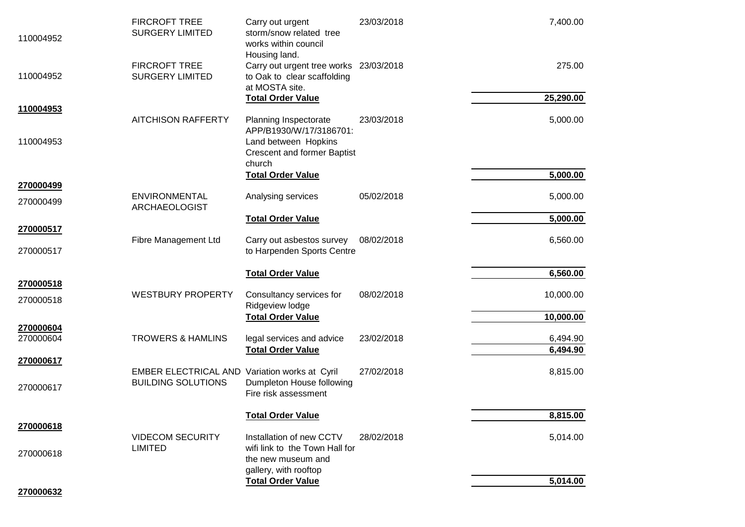| 110004952              | <b>FIRCROFT TREE</b><br><b>SURGERY LIMITED</b>                             | Carry out urgent<br>storm/snow related tree<br>works within council<br>Housing land.    | 23/03/2018 | 7,400.00  |
|------------------------|----------------------------------------------------------------------------|-----------------------------------------------------------------------------------------|------------|-----------|
| 110004952              | <b>FIRCROFT TREE</b><br><b>SURGERY LIMITED</b>                             | Carry out urgent tree works 23/03/2018<br>to Oak to clear scaffolding<br>at MOSTA site. |            | 275.00    |
| 110004953              |                                                                            | <b>Total Order Value</b>                                                                |            | 25,290.00 |
|                        | <b>AITCHISON RAFFERTY</b>                                                  | Planning Inspectorate<br>APP/B1930/W/17/3186701:                                        | 23/03/2018 | 5,000.00  |
| 110004953              |                                                                            | Land between Hopkins<br><b>Crescent and former Baptist</b><br>church                    |            |           |
|                        |                                                                            | <b>Total Order Value</b>                                                                |            | 5,000.00  |
| 270000499<br>270000499 | ENVIRONMENTAL<br><b>ARCHAEOLOGIST</b>                                      | Analysing services                                                                      | 05/02/2018 | 5,000.00  |
|                        |                                                                            | <b>Total Order Value</b>                                                                |            | 5,000.00  |
| 270000517<br>270000517 | Fibre Management Ltd                                                       | Carry out asbestos survey<br>to Harpenden Sports Centre                                 | 08/02/2018 | 6,560.00  |
|                        |                                                                            | <b>Total Order Value</b>                                                                |            | 6,560.00  |
| 270000518              | <b>WESTBURY PROPERTY</b>                                                   |                                                                                         | 08/02/2018 | 10,000.00 |
| 270000518              |                                                                            | Consultancy services for<br>Ridgeview lodge                                             |            |           |
|                        |                                                                            | <b>Total Order Value</b>                                                                |            | 10,000.00 |
| 270000604<br>270000604 | <b>TROWERS &amp; HAMLINS</b>                                               | legal services and advice                                                               | 23/02/2018 | 6,494.90  |
|                        |                                                                            | <b>Total Order Value</b>                                                                |            | 6,494.90  |
| 270000617              |                                                                            |                                                                                         |            |           |
| 270000617              | EMBER ELECTRICAL AND Variation works at Cyril<br><b>BUILDING SOLUTIONS</b> | Dumpleton House following<br>Fire risk assessment                                       | 27/02/2018 | 8,815.00  |
|                        |                                                                            | <b>Total Order Value</b>                                                                |            | 8,815.00  |
| 270000618              | <b>VIDECOM SECURITY</b><br><b>LIMITED</b>                                  | Installation of new CCTV<br>wifi link to the Town Hall for                              | 28/02/2018 | 5,014.00  |
| 270000618              |                                                                            | the new museum and<br>gallery, with rooftop                                             |            |           |
| 270000632              |                                                                            | <b>Total Order Value</b>                                                                |            | 5,014.00  |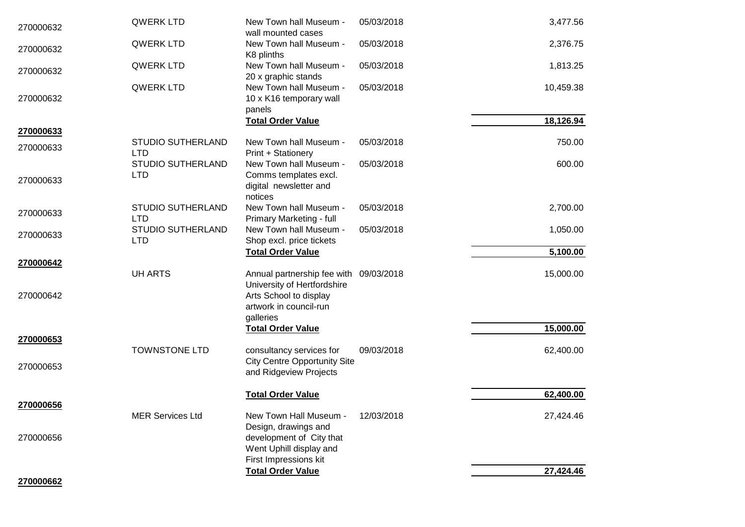| 270000632              | QWERK LTD                       | New Town hall Museum -<br>wall mounted cases                                                                              | 05/03/2018 | 3,477.56  |
|------------------------|---------------------------------|---------------------------------------------------------------------------------------------------------------------------|------------|-----------|
| 270000632              | <b>QWERK LTD</b>                | New Town hall Museum -<br>K8 plinths                                                                                      | 05/03/2018 | 2,376.75  |
| 270000632              | <b>QWERK LTD</b>                | New Town hall Museum -<br>20 x graphic stands                                                                             | 05/03/2018 | 1,813.25  |
| 270000632              | <b>QWERK LTD</b>                | New Town hall Museum -<br>10 x K16 temporary wall<br>panels                                                               | 05/03/2018 | 10,459.38 |
| 270000633              |                                 | <b>Total Order Value</b>                                                                                                  |            | 18,126.94 |
| 270000633              | STUDIO SUTHERLAND<br><b>LTD</b> | New Town hall Museum -<br>Print + Stationery                                                                              | 05/03/2018 | 750.00    |
| 270000633              | STUDIO SUTHERLAND<br><b>LTD</b> | New Town hall Museum -<br>Comms templates excl.<br>digital newsletter and<br>notices                                      | 05/03/2018 | 600.00    |
| 270000633              | STUDIO SUTHERLAND<br><b>LTD</b> | New Town hall Museum -<br>Primary Marketing - full                                                                        | 05/03/2018 | 2,700.00  |
| 270000633              | STUDIO SUTHERLAND<br><b>LTD</b> | New Town hall Museum -<br>Shop excl. price tickets                                                                        | 05/03/2018 | 1,050.00  |
|                        |                                 | <b>Total Order Value</b>                                                                                                  |            | 5,100.00  |
| 270000642<br>270000642 | <b>UH ARTS</b>                  | Annual partnership fee with 09/03/2018<br>University of Hertfordshire<br>Arts School to display<br>artwork in council-run |            | 15,000.00 |
|                        |                                 | galleries                                                                                                                 |            |           |
| 270000653              |                                 | <b>Total Order Value</b>                                                                                                  |            | 15,000.00 |
|                        | <b>TOWNSTONE LTD</b>            | consultancy services for                                                                                                  | 09/03/2018 | 62,400.00 |
| 270000653              |                                 | <b>City Centre Opportunity Site</b><br>and Ridgeview Projects                                                             |            |           |
| 270000656              |                                 | <b>Total Order Value</b>                                                                                                  |            | 62,400.00 |
| 270000656              | <b>MER Services Ltd</b>         | New Town Hall Museum -<br>Design, drawings and<br>development of City that<br>Went Uphill display and                     | 12/03/2018 | 27,424.46 |
|                        |                                 | First Impressions kit<br><b>Total Order Value</b>                                                                         |            | 27,424.46 |
| 270000662              |                                 |                                                                                                                           |            |           |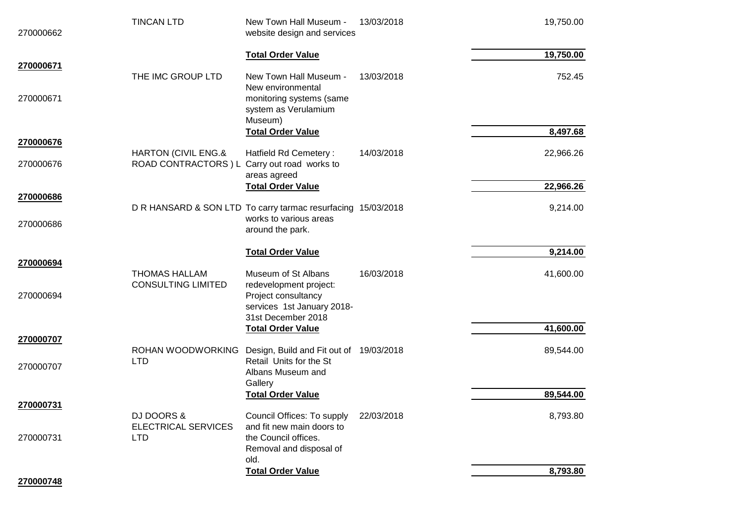| 270000662              | <b>TINCAN LTD</b>                                                   | New Town Hall Museum -<br>website design and services                                                                    | 13/03/2018 | 19,750.00 |
|------------------------|---------------------------------------------------------------------|--------------------------------------------------------------------------------------------------------------------------|------------|-----------|
| 270000671              |                                                                     | <b>Total Order Value</b>                                                                                                 |            | 19,750.00 |
| 270000671              | THE IMC GROUP LTD                                                   | New Town Hall Museum -<br>New environmental<br>monitoring systems (same<br>system as Verulamium<br>Museum)               | 13/03/2018 | 752.45    |
| 270000676              |                                                                     | <b>Total Order Value</b>                                                                                                 |            | 8,497.68  |
| 270000676              | HARTON (CIVIL ENG.&<br>ROAD CONTRACTORS ) L Carry out road works to | Hatfield Rd Cemetery:<br>areas agreed                                                                                    | 14/03/2018 | 22,966.26 |
|                        |                                                                     | <b>Total Order Value</b>                                                                                                 |            | 22,966.26 |
| 270000686              |                                                                     | D R HANSARD & SON LTD To carry tarmac resurfacing 15/03/2018                                                             |            | 9,214.00  |
| 270000686              |                                                                     | works to various areas<br>around the park.                                                                               |            |           |
|                        |                                                                     | <b>Total Order Value</b>                                                                                                 |            | 9,214.00  |
| 270000694<br>270000694 | <b>THOMAS HALLAM</b><br><b>CONSULTING LIMITED</b>                   | Museum of St Albans<br>redevelopment project:<br>Project consultancy<br>services 1st January 2018-<br>31st December 2018 | 16/03/2018 | 41,600.00 |
|                        |                                                                     | <b>Total Order Value</b>                                                                                                 |            | 41,600.00 |
| 270000707              | ROHAN WOODWORKING                                                   | Design, Build and Fit out of 19/03/2018                                                                                  |            | 89,544.00 |
| 270000707              | <b>LTD</b>                                                          | Retail Units for the St<br>Albans Museum and<br>Gallery                                                                  |            |           |
|                        |                                                                     | <b>Total Order Value</b>                                                                                                 |            | 89,544.00 |
| 270000731<br>270000731 | <b>DJ DOORS &amp;</b><br><b>ELECTRICAL SERVICES</b><br><b>LTD</b>   | Council Offices: To supply<br>and fit new main doors to<br>the Council offices.                                          | 22/03/2018 | 8,793.80  |
|                        |                                                                     | Removal and disposal of<br>old.                                                                                          |            |           |
| 270000748              |                                                                     | <b>Total Order Value</b>                                                                                                 |            | 8,793.80  |